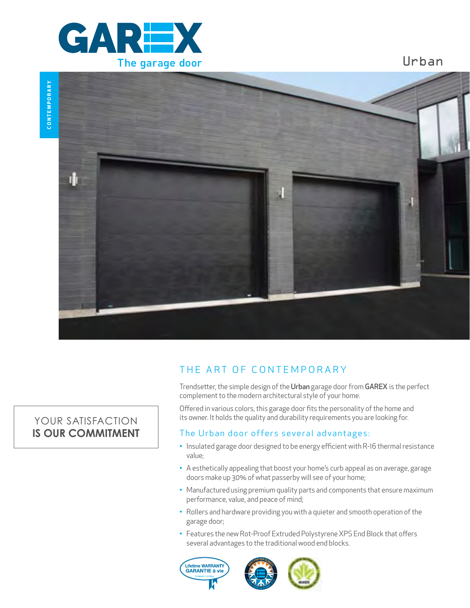

**CONTEMPORARY** CONTEMPORARY



# THE ART OF CONTEMPORARY

Trendsetter, the simple design of the Urban garage door from GAREX is the perfect complement to the modern architectural style of your home.

Urban

Offered in various colors, this garage door fits the personality of the home and its owner. It holds the quality and durability requirements you are looking for.

## The Urban door offers several advantages:

- Insulated garage door designed to be energy efficient with R-16 thermal resistance value;
- A esthetically appealing that boost your home's curb appeal as on average, garage doors make up 30% of what passerby will see of your home;
- Manufactured using premium quality parts and components that ensure maximum performance, value, and peace of mind;
- Rollers and hardware providing you with a quieter and smooth operation of the garage door;
- Features the new Rot-Proof Extruded Polystyrene XPS End Block that offers several advantages to the traditional wood end blocks.





# YOUR SATISFACTION **IS OUR COMMITMENT**